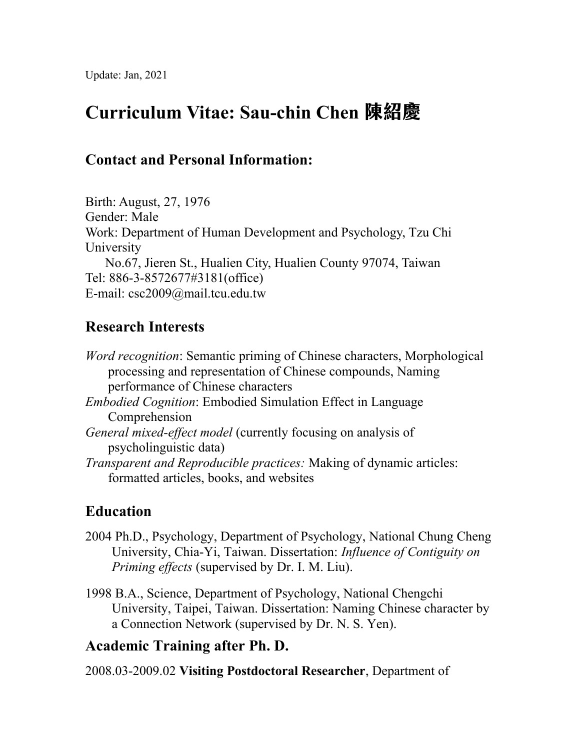# **Curriculum Vitae: Sau-chin Chen 陳紹慶**

## **Contact and Personal Information:**

Birth: August, 27, 1976 Gender: Male Work: Department of Human Development and Psychology, Tzu Chi University No.67, Jieren St., Hualien City, Hualien County 97074, Taiwan Tel: 886-3-8572677#3181(office) E-mail: csc2009@mail.tcu.edu.tw

## **Research Interests**

*Word recognition*: Semantic priming of Chinese characters, Morphological processing and representation of Chinese compounds, Naming performance of Chinese characters

- *Embodied Cognition*: Embodied Simulation Effect in Language Comprehension
- *General mixed-effect model* (currently focusing on analysis of psycholinguistic data)
- *Transparent and Reproducible practices:* Making of dynamic articles: formatted articles, books, and websites

## **Education**

- 2004 Ph.D., Psychology, Department of Psychology, National Chung Cheng University, Chia-Yi, Taiwan. Dissertation: *Influence of Contiguity on Priming effects* (supervised by Dr. I. M. Liu).
- 1998 B.A., Science, Department of Psychology, National Chengchi University, Taipei, Taiwan. Dissertation: Naming Chinese character by a Connection Network (supervised by Dr. N. S. Yen).

## **Academic Training after Ph. D.**

2008.03-2009.02 **Visiting Postdoctoral Researcher**, Department of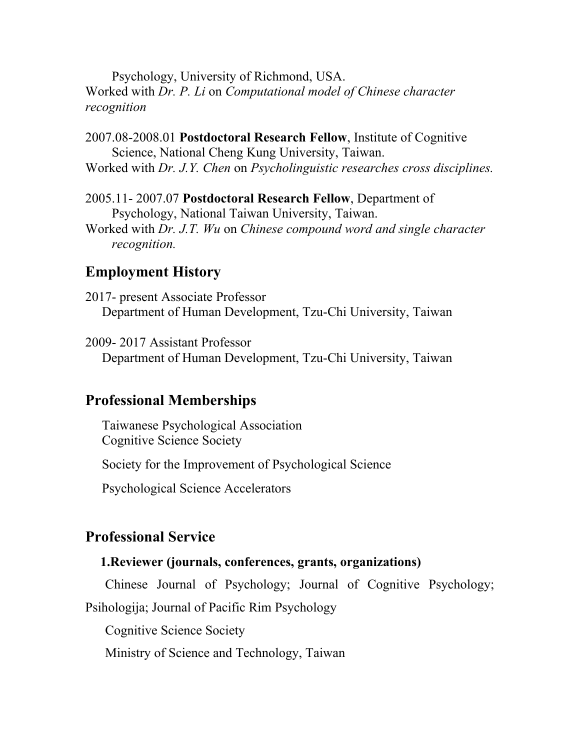Psychology, University of Richmond, USA. Worked with *Dr. P. Li* on *Computational model of Chinese character recognition*

2007.08-2008.01 **Postdoctoral Research Fellow**, Institute of Cognitive Science, National Cheng Kung University, Taiwan. Worked with *Dr. J.Y. Chen* on *Psycholinguistic researches cross disciplines.*

2005.11- 2007.07 **Postdoctoral Research Fellow**, Department of Psychology, National Taiwan University, Taiwan. Worked with *Dr. J.T. Wu* on *Chinese compound word and single character recognition.*

### **Employment History**

2017- present Associate Professor Department of Human Development, Tzu-Chi University, Taiwan

2009- 2017 Assistant Professor Department of Human Development, Tzu-Chi University, Taiwan

### **Professional Memberships**

 Taiwanese Psychological Association Cognitive Science Society

Society for the Improvement of Psychological Science

Psychological Science Accelerators

#### **Professional Service**

#### **1.Reviewer (journals, conferences, grants, organizations)**

Chinese Journal of Psychology; Journal of Cognitive Psychology; Psihologija; Journal of Pacific Rim Psychology

Cognitive Science Society

Ministry of Science and Technology, Taiwan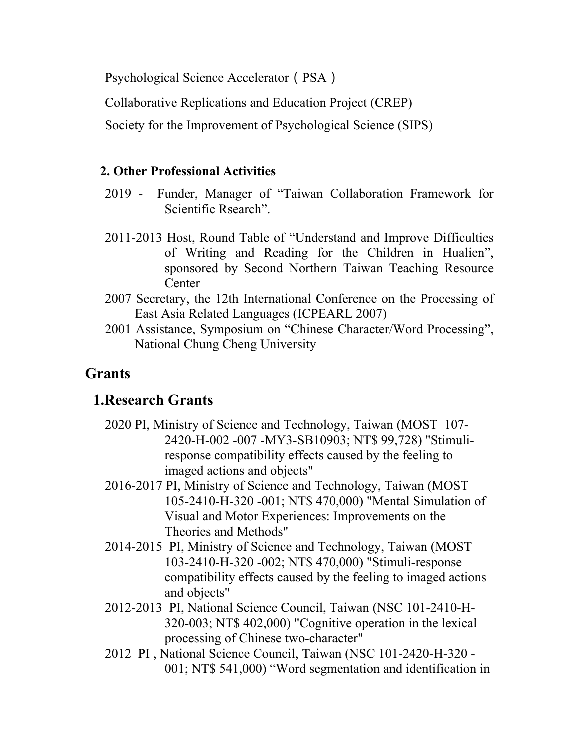Psychological Science Accelerator (PSA)

Collaborative Replications and Education Project (CREP)

Society for the Improvement of Psychological Science (SIPS)

### **2. Other Professional Activities**

- 2019 Funder, Manager of "Taiwan Collaboration Framework for Scientific Rsearch".
- 2011-2013 Host, Round Table of "Understand and Improve Difficulties of Writing and Reading for the Children in Hualien", sponsored by Second Northern Taiwan Teaching Resource **Center**
- 2007 Secretary, the 12th International Conference on the Processing of East Asia Related Languages (ICPEARL 2007)
- 2001 Assistance, Symposium on "Chinese Character/Word Processing", National Chung Cheng University

## **Grants**

## **1.Research Grants**

- 2020 PI, Ministry of Science and Technology, Taiwan (MOST 107- 2420-H-002 -007 -MY3-SB10903; NT\$ 99,728) "Stimuliresponse compatibility effects caused by the feeling to imaged actions and objects"
- 2016-2017 PI, Ministry of Science and Technology, Taiwan (MOST 105-2410-H-320 -001; NT\$ 470,000) "Mental Simulation of Visual and Motor Experiences: Improvements on the Theories and Methods"
- 2014-2015 PI, Ministry of Science and Technology, Taiwan (MOST 103-2410-H-320 -002; NT\$ 470,000) "Stimuli-response compatibility effects caused by the feeling to imaged actions and objects"
- 2012-2013 PI, National Science Council, Taiwan (NSC 101-2410-H-320-003; NT\$ 402,000) "Cognitive operation in the lexical processing of Chinese two-character"
- 2012 PI , National Science Council, Taiwan (NSC 101-2420-H-320 001; NT\$ 541,000) "Word segmentation and identification in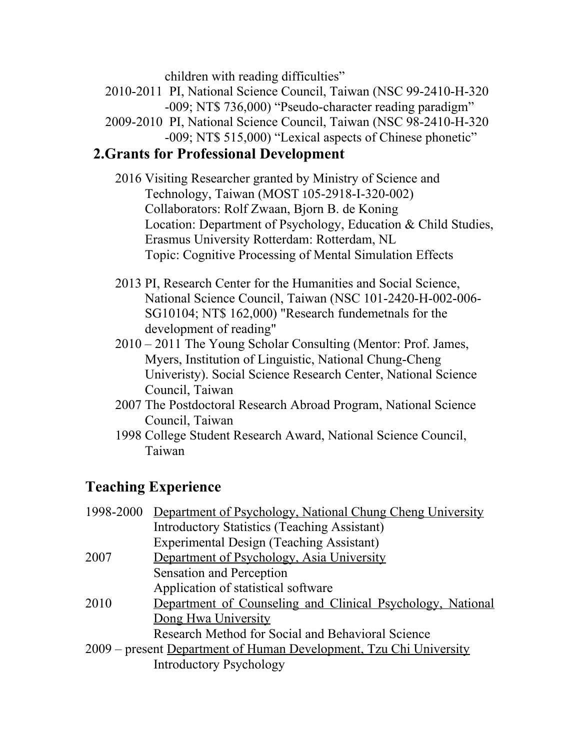children with reading difficulties"

- 2010-2011 PI, National Science Council, Taiwan (NSC 99-2410-H-320 -009; NT\$ 736,000) "Pseudo-character reading paradigm"
- 2009-2010 PI, National Science Council, Taiwan (NSC 98-2410-H-320 -009; NT\$ 515,000) "Lexical aspects of Chinese phonetic"

### **2.Grants for Professional Development**

- 2016 Visiting Researcher granted by Ministry of Science and Technology, Taiwan (MOST 105-2918-I-320-002) Collaborators: Rolf Zwaan, Bjorn B. de Koning Location: Department of Psychology, Education & Child Studies, Erasmus University Rotterdam: Rotterdam, NL Topic: Cognitive Processing of Mental Simulation Effects
- 2013 PI, Research Center for the Humanities and Social Science, National Science Council, Taiwan (NSC 101-2420-H-002-006- SG10104; NT\$ 162,000) "Research fundemetnals for the development of reading"
- 2010 2011 The Young Scholar Consulting (Mentor: Prof. James, Myers, Institution of Linguistic, National Chung-Cheng Univeristy). Social Science Research Center, National Science Council, Taiwan
- 2007 The Postdoctoral Research Abroad Program, National Science Council, Taiwan
- 1998 College Student Research Award, National Science Council, Taiwan

## **Teaching Experience**

|                                                                    | 1998-2000 Department of Psychology, National Chung Cheng University |
|--------------------------------------------------------------------|---------------------------------------------------------------------|
|                                                                    | <b>Introductory Statistics (Teaching Assistant)</b>                 |
|                                                                    | <b>Experimental Design (Teaching Assistant)</b>                     |
| 2007                                                               | Department of Psychology, Asia University                           |
|                                                                    | <b>Sensation and Perception</b>                                     |
|                                                                    | Application of statistical software                                 |
| 2010                                                               | Department of Counseling and Clinical Psychology, National          |
|                                                                    | Dong Hwa University                                                 |
|                                                                    | Research Method for Social and Behavioral Science                   |
| 2009 – present Department of Human Development, Tzu Chi University |                                                                     |
|                                                                    | <b>Introductory Psychology</b>                                      |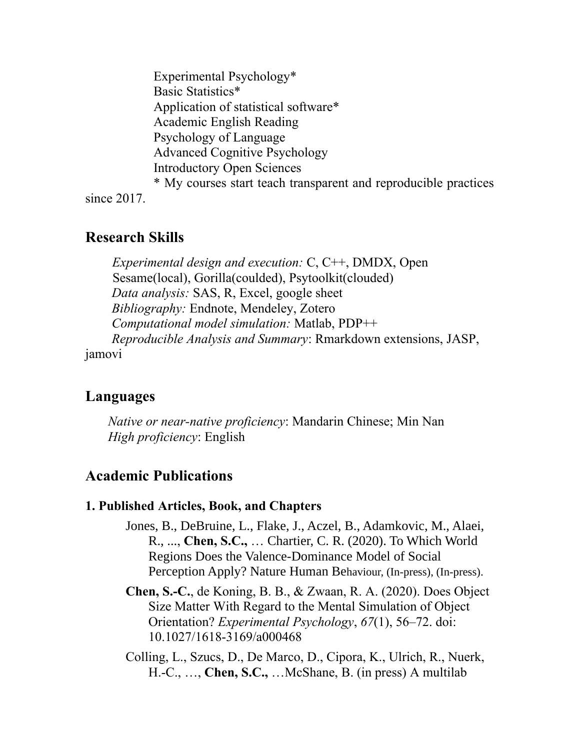Experimental Psychology\* Basic Statistics\* Application of statistical software\* Academic English Reading Psychology of Language Advanced Cognitive Psychology Introductory Open Sciences \* My courses start teach transparent and reproducible practices since 2017.

### **Research Skills**

*Experimental design and execution:* C, C++, DMDX, Open Sesame(local), Gorilla(coulded), Psytoolkit(clouded) *Data analysis:* SAS, R, Excel, google sheet *Bibliography:* Endnote, Mendeley, Zotero *Computational model simulation:* Matlab, PDP++ *Reproducible Analysis and Summary*: Rmarkdown extensions, JASP, jamovi

### **Languages**

*Native or near-native proficiency*: Mandarin Chinese; Min Nan *High proficiency*: English

## **Academic Publications**

### **1. Published Articles, Book, and Chapters**

- Jones, B., DeBruine, L., Flake, J., Aczel, B., Adamkovic, M., Alaei, R., ..., **Chen, S.C.,** … Chartier, C. R. (2020). To Which World Regions Does the Valence-Dominance Model of Social Perception Apply? Nature Human Behaviour, (In-press), (In-press).
- **Chen, S.-C.**, de Koning, B. B., & Zwaan, R. A. (2020). Does Object Size Matter With Regard to the Mental Simulation of Object Orientation? *Experimental Psychology*, *67*(1), 56–72. doi: 10.1027/1618-3169/a000468
- Colling, L., Szucs, D., De Marco, D., Cipora, K., Ulrich, R., Nuerk, H.-C., …, **Chen, S.C.,** …McShane, B. (in press) A multilab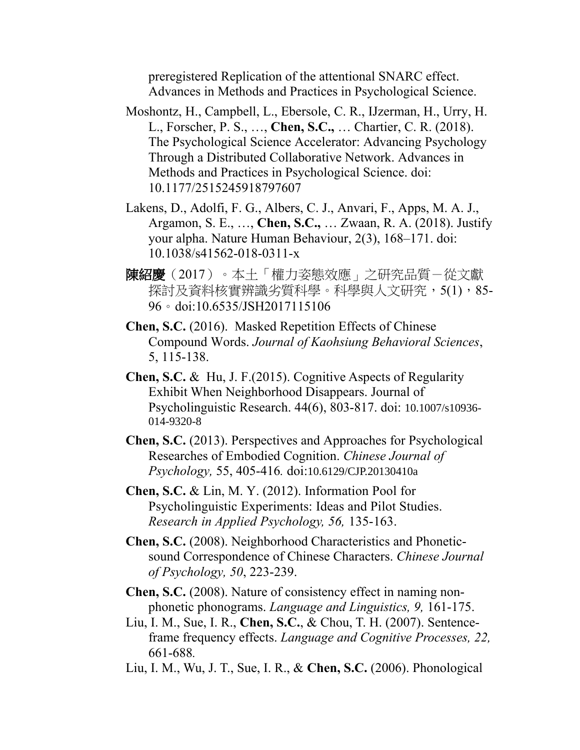preregistered Replication of the attentional SNARC effect. Advances in Methods and Practices in Psychological Science.

- Moshontz, H., Campbell, L., Ebersole, C. R., IJzerman, H., Urry, H. L., Forscher, P. S., …, **Chen, S.C.,** … Chartier, C. R. (2018). The Psychological Science Accelerator: Advancing Psychology Through a Distributed Collaborative Network. Advances in Methods and Practices in Psychological Science. doi: 10.1177/2515245918797607
- Lakens, D., Adolfi, F. G., Albers, C. J., Anvari, F., Apps, M. A. J., Argamon, S. E., …, **Chen, S.C.,** … Zwaan, R. A. (2018). Justify your alpha. Nature Human Behaviour, 2(3), 168–171. doi: 10.1038/s41562-018-0311-x
- 陳紹慶(2017)。本土「權力姿態效應」之研究品質-從文獻 探討及資料核實辨識劣質科學。科學與人文研究,5(1),85-96。doi:10.6535/JSH2017115106
- **Chen, S.C.** (2016). Masked Repetition Effects of Chinese Compound Words. *Journal of Kaohsiung Behavioral Sciences*, 5, 115-138.
- **Chen, S.C.** & Hu, J. F.(2015). Cognitive Aspects of Regularity Exhibit When Neighborhood Disappears. Journal of Psycholinguistic Research. 44(6), 803-817. doi: 10.1007/s10936- 014-9320-8
- **Chen, S.C.** (2013). Perspectives and Approaches for Psychological Researches of Embodied Cognition. *Chinese Journal of Psychology,* 55, 405-416*.* doi:10.6129/CJP.20130410a
- **Chen, S.C.** & Lin, M. Y. (2012). Information Pool for Psycholinguistic Experiments: Ideas and Pilot Studies. *Research in Applied Psychology, 56,* 135-163.
- **Chen, S.C.** (2008). Neighborhood Characteristics and Phoneticsound Correspondence of Chinese Characters. *Chinese Journal of Psychology, 50*, 223-239.
- **Chen, S.C.** (2008). Nature of consistency effect in naming nonphonetic phonograms. *Language and Linguistics, 9,* 161-175.
- Liu, I. M., Sue, I. R., **Chen, S.C.**, & Chou, T. H. (2007). Sentenceframe frequency effects. *Language and Cognitive Processes, 22,*  661-688*.*
- Liu, I. M., Wu, J. T., Sue, I. R., & **Chen, S.C.** (2006). Phonological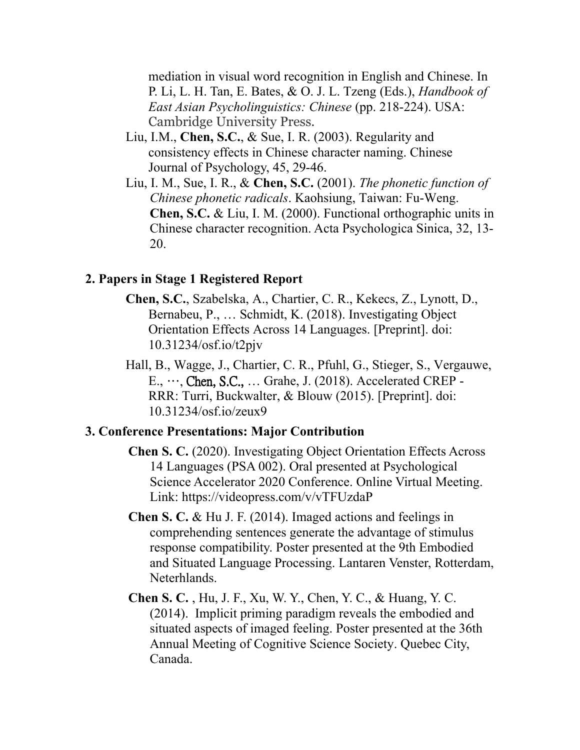mediation in visual word recognition in English and Chinese. In P. Li, L. H. Tan, E. Bates, & O. J. L. Tzeng (Eds.), *Handbook of East Asian Psycholinguistics: Chinese* (pp. 218-224). USA: Cambridge University Press.

- Liu, I.M., **Chen, S.C.**, & Sue, I. R. (2003). Regularity and consistency effects in Chinese character naming. Chinese Journal of Psychology, 45, 29-46.
- Liu, I. M., Sue, I. R., & **Chen, S.C.** (2001). *The phonetic function of Chinese phonetic radicals*. Kaohsiung, Taiwan: Fu-Weng. **Chen, S.C.** & Liu, I. M. (2000). Functional orthographic units in Chinese character recognition. Acta Psychologica Sinica, 32, 13- 20.

#### **2. Papers in Stage 1 Registered Report**

- **Chen, S.C.**, Szabelska, A., Chartier, C. R., Kekecs, Z., Lynott, D., Bernabeu, P., … Schmidt, K. (2018). Investigating Object Orientation Effects Across 14 Languages. [Preprint]. doi: 10.31234/osf.io/t2pjv
- Hall, B., Wagge, J., Chartier, C. R., Pfuhl, G., Stieger, S., Vergauwe, E., …, Chen, S.C., … Grahe, J. (2018). Accelerated CREP - RRR: Turri, Buckwalter, & Blouw (2015). [Preprint]. doi: 10.31234/osf.io/zeux9

#### **3. Conference Presentations: Major Contribution**

- **Chen S. C.** (2020). Investigating Object Orientation Effects Across 14 Languages (PSA 002). Oral presented at Psychological Science Accelerator 2020 Conference. Online Virtual Meeting. Link: https://videopress.com/v/vTFUzdaP
- **Chen S. C.** & Hu J. F. (2014). Imaged actions and feelings in comprehending sentences generate the advantage of stimulus response compatibility. Poster presented at the 9th Embodied and Situated Language Processing. Lantaren Venster, Rotterdam, Neterhlands.
- **Chen S. C.** , Hu, J. F., Xu, W. Y., Chen, Y. C., & Huang, Y. C. (2014). Implicit priming paradigm reveals the embodied and situated aspects of imaged feeling. Poster presented at the 36th Annual Meeting of Cognitive Science Society. Quebec City, Canada.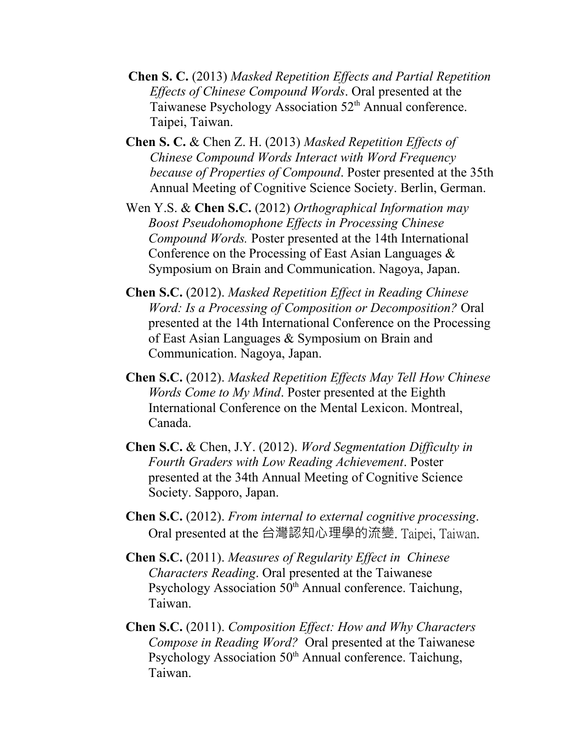- **Chen S. C.** (2013) *Masked Repetition Effects and Partial Repetition Effects of Chinese Compound Words*. Oral presented at the Taiwanese Psychology Association 52<sup>th</sup> Annual conference. Taipei, Taiwan.
- **Chen S. C.** & Chen Z. H. (2013) *Masked Repetition Effects of Chinese Compound Words Interact with Word Frequency because of Properties of Compound*. Poster presented at the 35th Annual Meeting of Cognitive Science Society. Berlin, German.
- Wen Y.S. & **Chen S.C.** (2012) *Orthographical Information may Boost Pseudohomophone Effects in Processing Chinese Compound Words.* Poster presented at the 14th International Conference on the Processing of East Asian Languages & Symposium on Brain and Communication. Nagoya, Japan.
- **Chen S.C.** (2012). *Masked Repetition Effect in Reading Chinese Word: Is a Processing of Composition or Decomposition?* Oral presented at the 14th International Conference on the Processing of East Asian Languages & Symposium on Brain and Communication. Nagoya, Japan.
- **Chen S.C.** (2012). *Masked Repetition Effects May Tell How Chinese Words Come to My Mind*. Poster presented at the Eighth International Conference on the Mental Lexicon. Montreal, Canada.
- **Chen S.C.** & Chen, J.Y. (2012). *Word Segmentation Difficulty in Fourth Graders with Low Reading Achievement*. Poster presented at the 34th Annual Meeting of Cognitive Science Society. Sapporo, Japan.
- **Chen S.C.** (2012). *From internal to external cognitive processing*. Oral presented at the 台灣認知心理學的流變. Taipei, Taiwan.
- **Chen S.C.** (2011). *Measures of Regularity Effect in Chinese Characters Reading*. Oral presented at the Taiwanese Psychology Association  $50<sup>th</sup>$  Annual conference. Taichung, Taiwan.
- **Chen S.C.** (2011). *Composition Effect: How and Why Characters Compose in Reading Word?* Oral presented at the Taiwanese Psychology Association  $50<sup>th</sup>$  Annual conference. Taichung, Taiwan.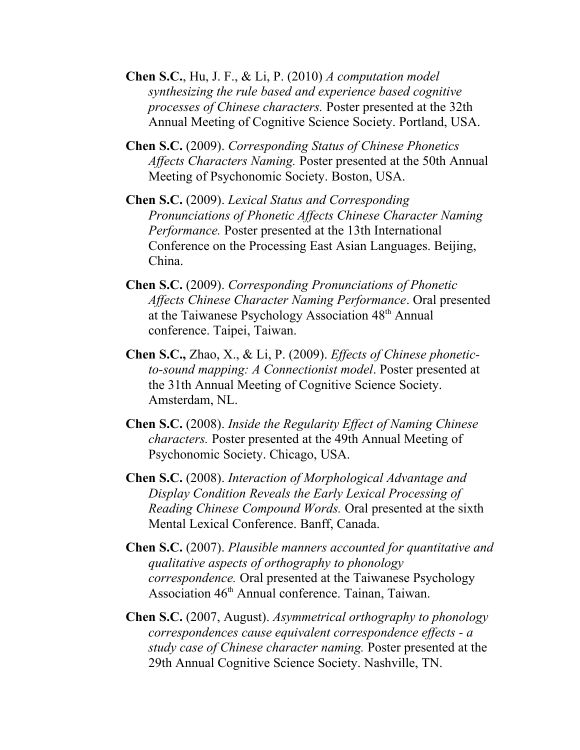- **Chen S.C.**, Hu, J. F., & Li, P. (2010) *A computation model synthesizing the rule based and experience based cognitive processes of Chinese characters.* Poster presented at the 32th Annual Meeting of Cognitive Science Society. Portland, USA.
- **Chen S.C.** (2009). *Corresponding Status of Chinese Phonetics Affects Characters Naming.* Poster presented at the 50th Annual Meeting of Psychonomic Society. Boston, USA.
- **Chen S.C.** (2009). *Lexical Status and Corresponding Pronunciations of Phonetic Affects Chinese Character Naming Performance.* Poster presented at the 13th International Conference on the Processing East Asian Languages. Beijing, China.
- **Chen S.C.** (2009). *Corresponding Pronunciations of Phonetic Affects Chinese Character Naming Performance*. Oral presented at the Taiwanese Psychology Association 48<sup>th</sup> Annual conference. Taipei, Taiwan.
- **Chen S.C.,** Zhao, X., & Li, P. (2009). *Effects of Chinese phoneticto-sound mapping: A Connectionist model*. Poster presented at the 31th Annual Meeting of Cognitive Science Society. Amsterdam, NL.
- **Chen S.C.** (2008). *Inside the Regularity Effect of Naming Chinese characters.* Poster presented at the 49th Annual Meeting of Psychonomic Society. Chicago, USA.
- **Chen S.C.** (2008). *Interaction of Morphological Advantage and Display Condition Reveals the Early Lexical Processing of Reading Chinese Compound Words.* Oral presented at the sixth Mental Lexical Conference. Banff, Canada.
- **Chen S.C.** (2007). *Plausible manners accounted for quantitative and qualitative aspects of orthography to phonology correspondence.* Oral presented at the Taiwanese Psychology Association 46<sup>th</sup> Annual conference. Tainan, Taiwan.
- **Chen S.C.** (2007, August). *Asymmetrical orthography to phonology correspondences cause equivalent correspondence effects - a study case of Chinese character naming.* Poster presented at the 29th Annual Cognitive Science Society. Nashville, TN.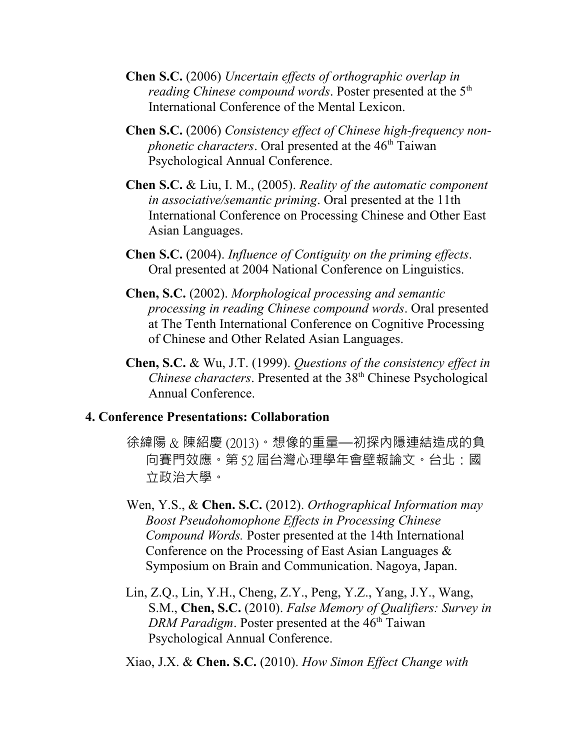- **Chen S.C.** (2006) *Uncertain effects of orthographic overlap in reading Chinese compound words.* Poster presented at the 5<sup>th</sup> International Conference of the Mental Lexicon.
- **Chen S.C.** (2006) *Consistency effect of Chinese high-frequency nonphonetic characters*. Oral presented at the 46<sup>th</sup> Taiwan Psychological Annual Conference.
- **Chen S.C.** & Liu, I. M., (2005). *Reality of the automatic component in associative/semantic priming*. Oral presented at the 11th International Conference on Processing Chinese and Other East Asian Languages.
- **Chen S.C.** (2004). *Influence of Contiguity on the priming effects*. Oral presented at 2004 National Conference on Linguistics.
- **Chen, S.C.** (2002). *Morphological processing and semantic processing in reading Chinese compound words*. Oral presented at The Tenth International Conference on Cognitive Processing of Chinese and Other Related Asian Languages.
- **Chen, S.C.** & Wu, J.T. (1999). *Questions of the consistency effect in Chinese characters*. Presented at the 38<sup>th</sup> Chinese Psychological Annual Conference.

#### **4. Conference Presentations: Collaboration**

- 徐緯陽 & 陳紹慶 (2013)。想像的重量—初探內隱連結造成的負 向賽門效應。第 52 屆台灣心理學年會壁報論文。台北:國 立政治大學。
- Wen, Y.S., & **Chen. S.C.** (2012). *Orthographical Information may Boost Pseudohomophone Effects in Processing Chinese Compound Words.* Poster presented at the 14th International Conference on the Processing of East Asian Languages & Symposium on Brain and Communication. Nagoya, Japan.
- Lin, Z.Q., Lin, Y.H., Cheng, Z.Y., Peng, Y.Z., Yang, J.Y., Wang, S.M., **Chen, S.C.** (2010). *False Memory of Qualifiers: Survey in DRM Paradigm*. Poster presented at the 46<sup>th</sup> Taiwan Psychological Annual Conference.

Xiao, J.X. & **Chen. S.C.** (2010). *How Simon Effect Change with*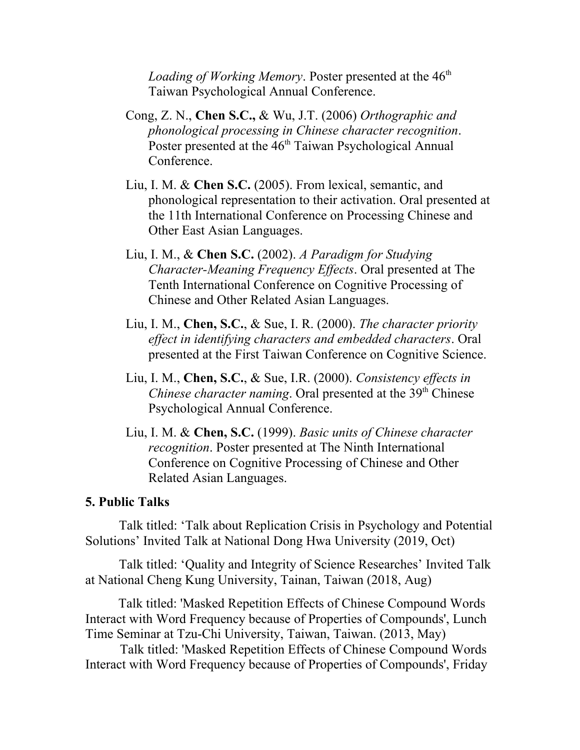Loading of Working Memory. Poster presented at the 46<sup>th</sup> Taiwan Psychological Annual Conference.

- Cong, Z. N., **Chen S.C.,** & Wu, J.T. (2006) *Orthographic and phonological processing in Chinese character recognition*. Poster presented at the 46<sup>th</sup> Taiwan Psychological Annual Conference.
- Liu, I. M. & **Chen S.C.** (2005). From lexical, semantic, and phonological representation to their activation. Oral presented at the 11th International Conference on Processing Chinese and Other East Asian Languages.
- Liu, I. M., & **Chen S.C.** (2002). *A Paradigm for Studying Character-Meaning Frequency Effects*. Oral presented at The Tenth International Conference on Cognitive Processing of Chinese and Other Related Asian Languages.
- Liu, I. M., **Chen, S.C.**, & Sue, I. R. (2000). *The character priority effect in identifying characters and embedded characters*. Oral presented at the First Taiwan Conference on Cognitive Science.
- Liu, I. M., **Chen, S.C.**, & Sue, I.R. (2000). *Consistency effects in Chinese character naming*. Oral presented at the 39<sup>th</sup> Chinese Psychological Annual Conference.
- Liu, I. M. & **Chen, S.C.** (1999). *Basic units of Chinese character recognition*. Poster presented at The Ninth International Conference on Cognitive Processing of Chinese and Other Related Asian Languages.

#### **5. Public Talks**

Talk titled: 'Talk about Replication Crisis in Psychology and Potential Solutions' Invited Talk at National Dong Hwa University (2019, Oct)

Talk titled: 'Quality and Integrity of Science Researches' Invited Talk at National Cheng Kung University, Tainan, Taiwan (2018, Aug)

 Talk titled: 'Masked Repetition Effects of Chinese Compound Words Interact with Word Frequency because of Properties of Compounds', Lunch Time Seminar at Tzu-Chi University, Taiwan, Taiwan. (2013, May)

Talk titled: 'Masked Repetition Effects of Chinese Compound Words Interact with Word Frequency because of Properties of Compounds', Friday